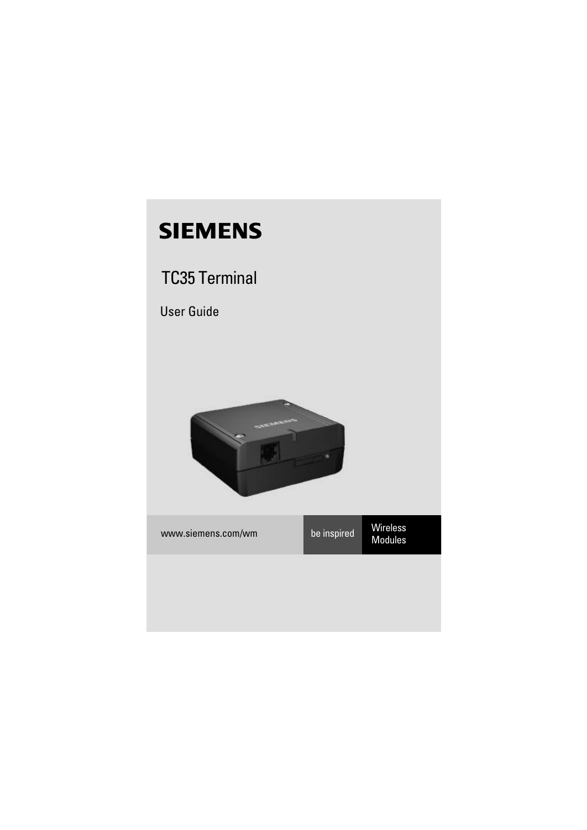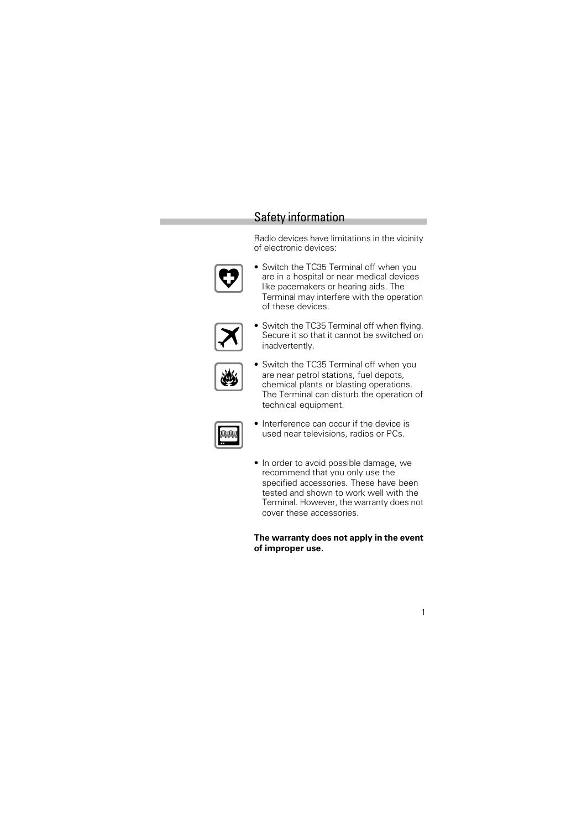# Safety information

Radio devices have limitations in the vicinity of electronic devices:



• Switch the TC35 Terminal off when you are in a hospital or near medical devices like pacemakers or hearing aids. The Terminal may interfere with the operation of these devices.



• Switch the TC35 Terminal off when flying. Secure it so that it cannot be switched on inadvertently.



- Switch the TC35 Terminal off when you are near petrol stations, fuel depots, chemical plants or blasting operations. The Terminal can disturb the operation of technical equipment.
- 
- Interference can occur if the device is used near televisions, radios or PCs.
- In order to avoid possible damage, we recommend that you only use the specified accessories. These have been tested and shown to work well with the Terminal. However, the warranty does not cover these accessories.

**The warranty does not apply in the event of improper use.**

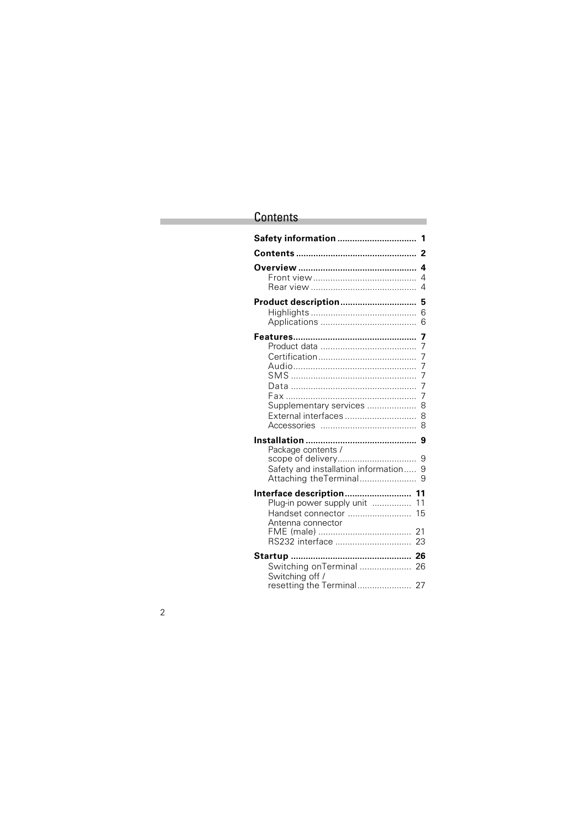# **Contents**

| Safety information<br>1                                                                                     |
|-------------------------------------------------------------------------------------------------------------|
| 2                                                                                                           |
| 4<br>4<br>4                                                                                                 |
| Product description<br>5<br>6<br>6                                                                          |
| 7<br>7<br>7<br>7<br>7<br>7<br>7<br>Supplementary services<br>8<br>External interfaces<br>8<br>8             |
| 9<br>Package contents /<br>scope of delivery<br>9                                                           |
| Safety and installation information<br>9<br>Attaching the Terminal<br>9                                     |
| Interface description 11<br>Plug-in power supply unit<br>11<br>Handset connector<br>15<br>Antenna connector |
| 21<br>RS232 interface<br>23                                                                                 |
| 26<br>Switching onTerminal<br>26<br>Switching off /                                                         |
| resetting the Terminal 27                                                                                   |

2

Ī.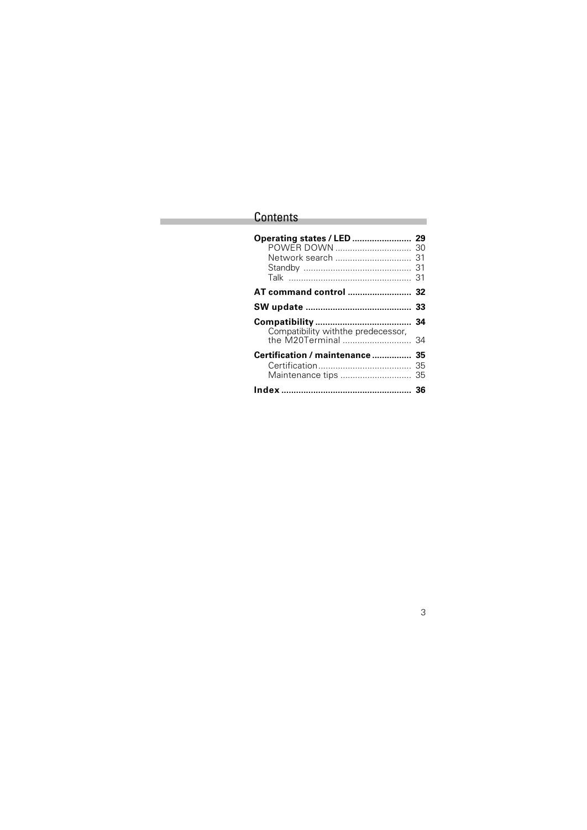# **Contents**

Ī.

| Operating states / LED<br>POWER DOWN<br>Network search | 29<br>30<br>31<br>31<br>31 |
|--------------------------------------------------------|----------------------------|
|                                                        |                            |
|                                                        | 33                         |
| Compatibility withthe predecessor,                     | 34                         |
| the M20Terminal                                        | 34                         |
| Certification / maintenance<br>Maintenance tips        | 35<br>35<br>35             |
|                                                        |                            |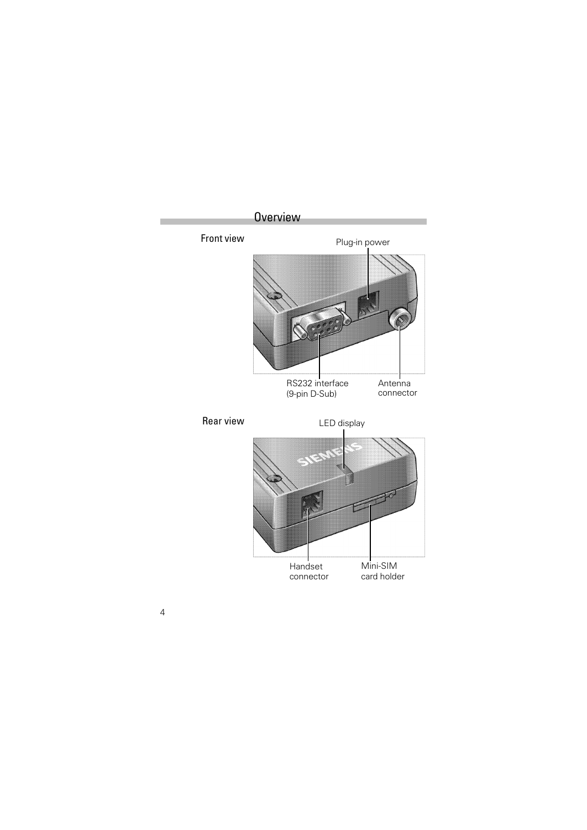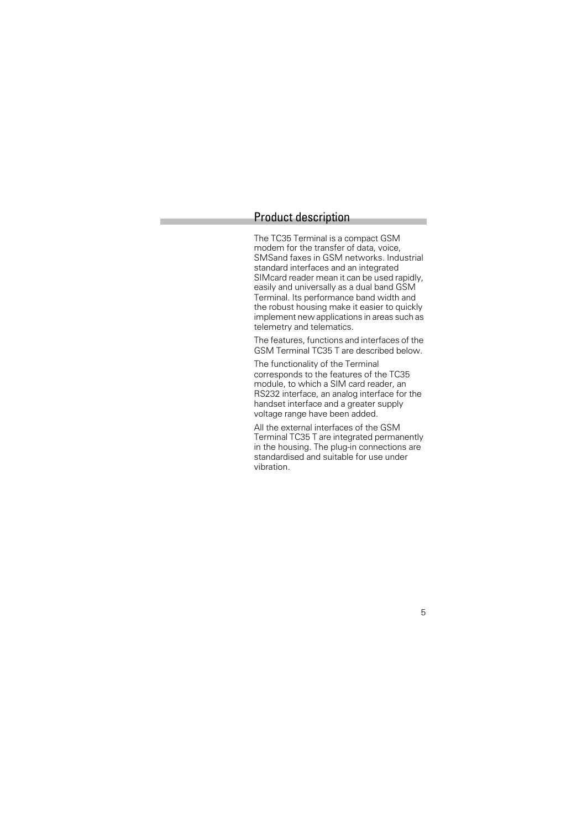### Product description

The TC35 Terminal is a compact GSM modem for the transfer of data, voice, SMSand faxes in GSM networks. Industrial standard interfaces and an integrated SIMcard reader mean it can be used rapidly, easily and universally as a dual band GSM Terminal. Its performance band width and the robust housing make it easier to quickly implement new applications in areas such as telemetry and telematics.

The features, functions and interfaces of the GSM Terminal TC35 T are described below.

The functionality of the Terminal corresponds to the features of the TC35 module, to which a SIM card reader, an RS232 interface, an analog interface for the handset interface and a greater supply voltage range have been added.

All the external interfaces of the GSM Terminal TC35 T are integrated permanently in the housing. The plug-in connections are standardised and suitable for use under vibration.

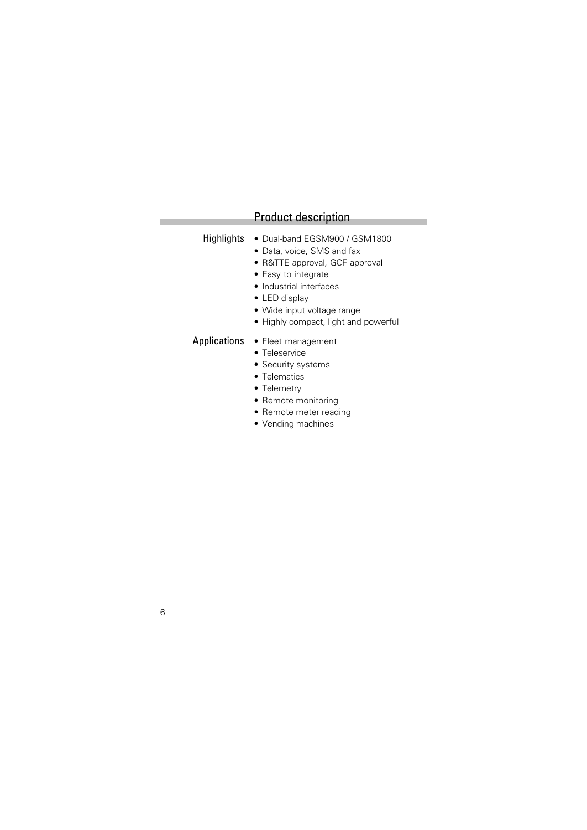# Product description

- Highlights Dual-band EGSM900 / GSM1800
	- Data, voice, SMS and fax
	- R&TTE approval, GCF approval
	- Easy to integrate
	- Industrial interfaces
	- LED display
	- Wide input voltage range
	- Highly compact, light and powerful
- Applications Fleet management
	- Teleservice
	- Security systems
	- Telematics
	- Telemetry
	- Remote monitoring
	- Remote meter reading
	- Vending machines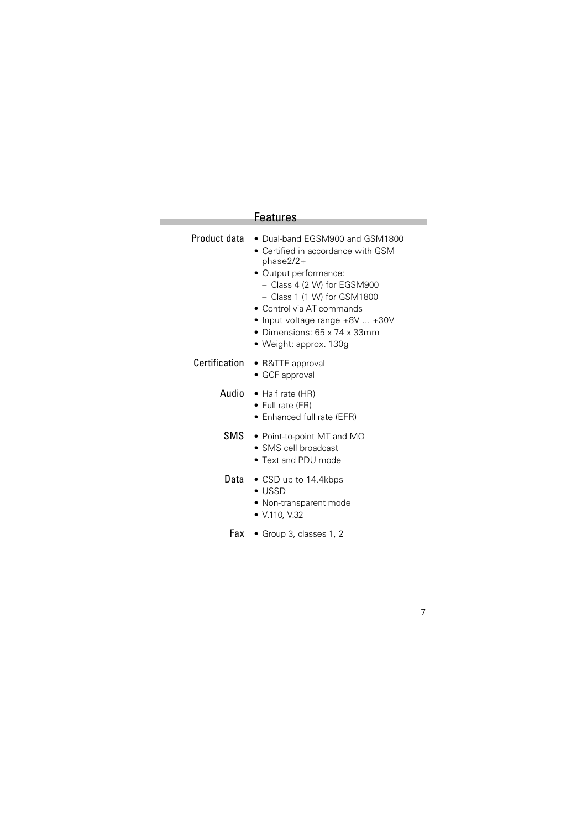# Features

Ì.

| <b>Product data • Dual-band EGSM900 and GSM1800</b><br>• Certified in accordance with GSM<br>phase2/2+<br>• Output performance:<br>$-$ Class 4 (2 W) for EGSM900<br>$-$ Class 1 (1 W) for GSM1800<br>• Control via AT commands<br>• Input voltage range $+8V+30V$<br>• Dimensions: $65 \times 74 \times 33$ mm<br>• Weight: approx. 130g |
|------------------------------------------------------------------------------------------------------------------------------------------------------------------------------------------------------------------------------------------------------------------------------------------------------------------------------------------|
| Certification • R&TTE approval<br>• GCF approval                                                                                                                                                                                                                                                                                         |
| Audio • Half rate (HR)<br>$\bullet$ Full rate (FR)<br>• Enhanced full rate (EFR)                                                                                                                                                                                                                                                         |
| SMS • Point-to-point MT and MO<br>$\bullet$ SMS cell broadcast<br>$\bullet$ Text and PDU mode                                                                                                                                                                                                                                            |
| <b>Data</b> $\bullet$ CSD up to 14.4kbps<br>$\bullet$ USSD<br>• Non-transparent mode<br>• $V.110, V.32$                                                                                                                                                                                                                                  |

Fax • Group 3, classes 1, 2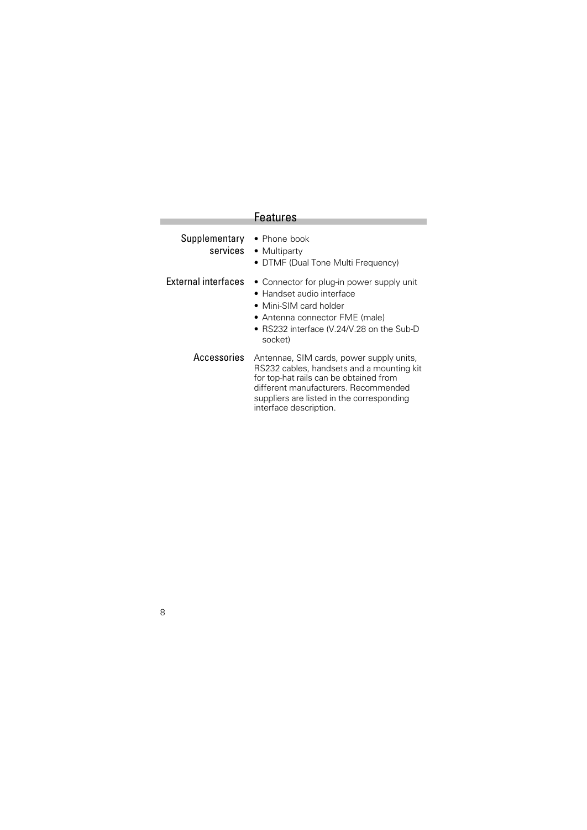|                            | <b>Features</b>                                                                                                                                                                                                                                |
|----------------------------|------------------------------------------------------------------------------------------------------------------------------------------------------------------------------------------------------------------------------------------------|
| Supplementary • Phone book | services • Multiparty<br>• DTMF (Dual Tone Multi Frequency)                                                                                                                                                                                    |
| External interfaces        | • Connector for plug-in power supply unit<br>• Handset audio interface<br>• Mini-SIM card holder<br>• Antenna connector FME (male)<br>• RS232 interface (V.24/V.28 on the Sub-D<br>socket)                                                     |
| Accessories                | Antennae, SIM cards, power supply units,<br>RS232 cables, handsets and a mounting kit<br>for top-hat rails can be obtained from<br>different manufacturers. Recommended<br>suppliers are listed in the corresponding<br>interface description. |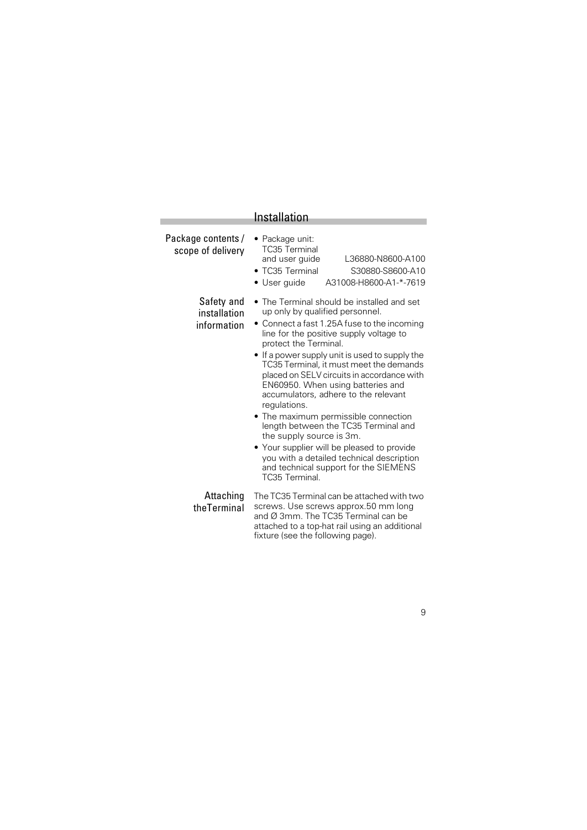|                                           | Installation                                                                                                                                                                                                                                                                                                                                                                                                                                                                                                                                                                                                                                                                                               |
|-------------------------------------------|------------------------------------------------------------------------------------------------------------------------------------------------------------------------------------------------------------------------------------------------------------------------------------------------------------------------------------------------------------------------------------------------------------------------------------------------------------------------------------------------------------------------------------------------------------------------------------------------------------------------------------------------------------------------------------------------------------|
| Package contents /<br>scope of delivery   | · Package unit:<br><b>TC35 Terminal</b><br>L36880-N8600-A100<br>and user guide<br>• TC35 Terminal<br>S30880-S8600-A10<br>A31008-H8600-A1-*-7619<br>• User guide                                                                                                                                                                                                                                                                                                                                                                                                                                                                                                                                            |
| Safety and<br>installation<br>information | • The Terminal should be installed and set<br>up only by qualified personnel.<br>• Connect a fast 1.25A fuse to the incoming<br>line for the positive supply voltage to<br>protect the Terminal.<br>• If a power supply unit is used to supply the<br>TC35 Terminal, it must meet the demands<br>placed on SELV circuits in accordance with<br>EN60950. When using batteries and<br>accumulators, adhere to the relevant<br>regulations.<br>• The maximum permissible connection<br>length between the TC35 Terminal and<br>the supply source is 3m.<br>• Your supplier will be pleased to provide<br>you with a detailed technical description<br>and technical support for the SIEMENS<br>TC35 Terminal. |
| Attaching<br>theTerminal                  | The TC35 Terminal can be attached with two<br>screws. Use screws approx.50 mm long<br>and Ø 3mm. The TC35 Terminal can be<br>attached to a top-hat rail using an additional<br>fixture (see the following page).                                                                                                                                                                                                                                                                                                                                                                                                                                                                                           |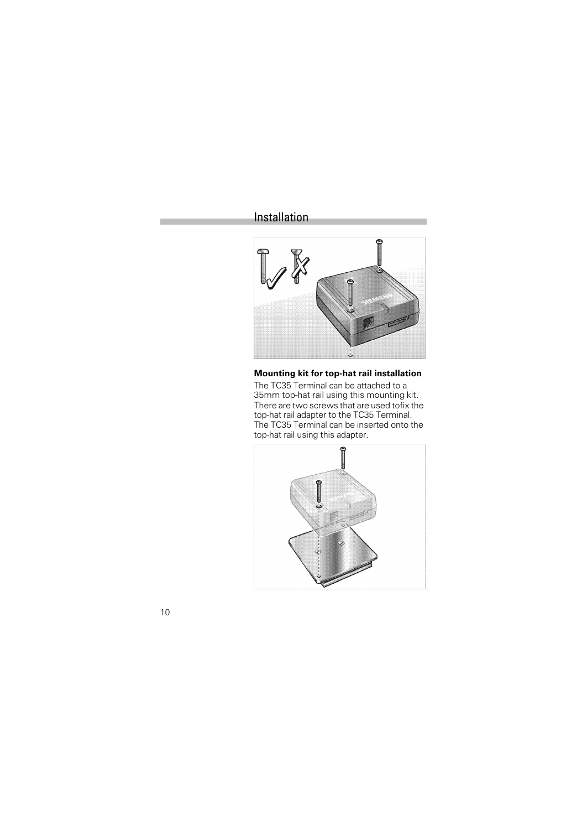# Installation



**Mounting kit for top-hat rail installation** The TC35 Terminal can be attached to a 35mm top-hat rail using this mounting kit. There are two screws that are used tofix the top-hat rail adapter to the TC35 Terminal. The TC35 Terminal can be inserted onto the top-hat rail using this adapter.

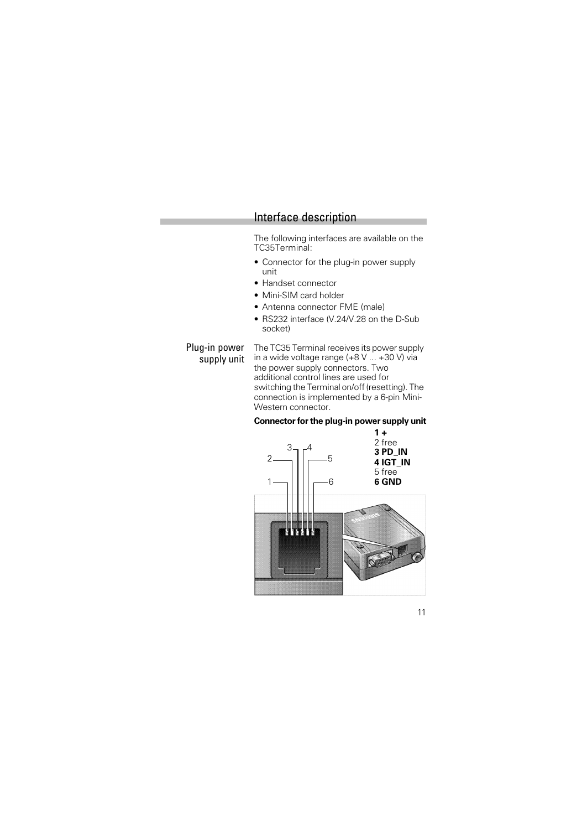The following interfaces are available on the TC35Terminal:

- Connector for the plug-in power supply unit
- Handset connector
- Mini-SIM card holder
- Antenna connector FME (male)
- RS232 interface (V.24/V.28 on the D-Sub socket)

Plug-in power The TC35 Terminal receives its power supply supply unit in a wide voltage range (+8 V ... +30 V) via the power supply connectors. Two additional control lines are used for switching the Terminal on/off (resetting). The connection is implemented by a 6-pin Mini-Western connector.

#### **Connector for the plug-in power supply unit**

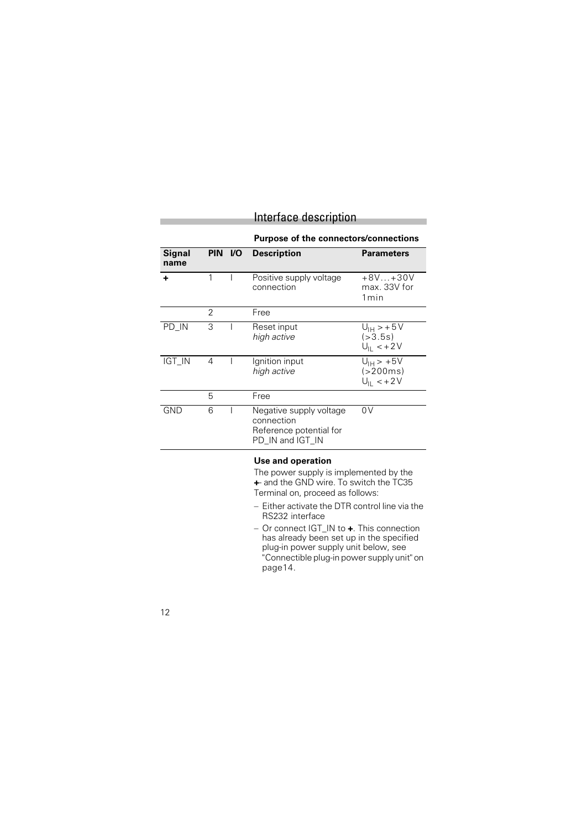### **Purpose of the connectors/connections**

| <b>Signal</b><br>name |                |                                                                                                                                                                             | PIN I/O Description                                                                                                                                                                                              | <b>Parameters</b>                                    |
|-----------------------|----------------|-----------------------------------------------------------------------------------------------------------------------------------------------------------------------------|------------------------------------------------------------------------------------------------------------------------------------------------------------------------------------------------------------------|------------------------------------------------------|
| ÷                     | 1              |                                                                                                                                                                             | Positive supply voltage<br>connection                                                                                                                                                                            | $+8V+30V$<br>max. 33V for<br>1 <sub>min</sub>        |
|                       | $\overline{2}$ |                                                                                                                                                                             | Free                                                                                                                                                                                                             |                                                      |
| PD_IN                 | 3              |                                                                                                                                                                             | Reset input<br>high active                                                                                                                                                                                       | $U_{\text{IH}} > +5V$<br>( > 3.5s)<br>$U_{  }$ < +2V |
| IGT_IN                | 4              |                                                                                                                                                                             | Ignition input<br>high active                                                                                                                                                                                    | $U_{\text{IH}}$ > +5V<br>(>200ms)<br>$U_{  }$ < +2V  |
|                       | 5              |                                                                                                                                                                             | Free                                                                                                                                                                                                             |                                                      |
| GND                   | 6              |                                                                                                                                                                             | Negative supply voltage<br>connection<br>Reference potential for<br>PD_IN and IGT_IN                                                                                                                             | 0V                                                   |
|                       |                |                                                                                                                                                                             | Use and operation<br>The power supply is implemented by the<br>+ and the GND wire. To switch the TC35<br>Terminal on, proceed as follows:<br>$-$ Either activate the DTR control line via the<br>RS232 interface |                                                      |
|                       |                | - Or connect IGT_IN to +. This connection<br>has already been set up in the specified<br>plug-in power supply unit below, see<br>"Connectible plug-in power supply unit" on |                                                                                                                                                                                                                  |                                                      |

page14.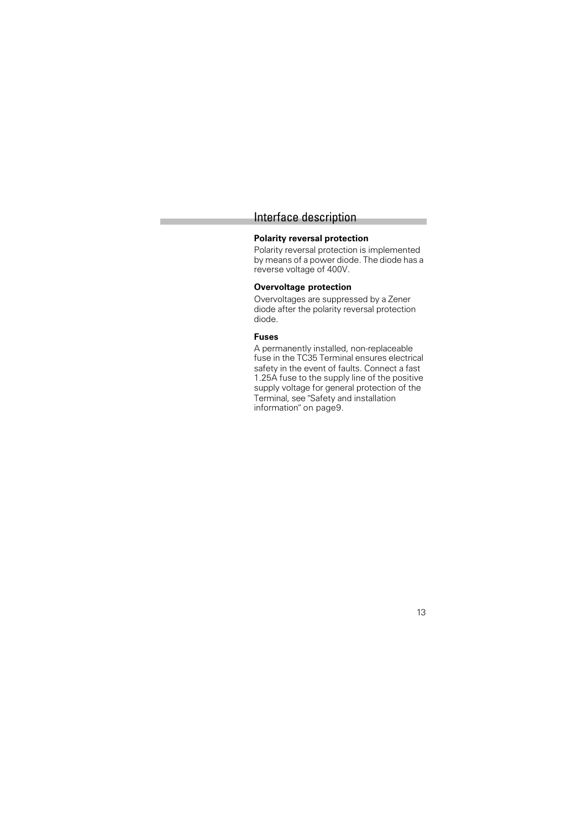#### **Polarity reversal protection**

Polarity reversal protection is implemented by means of a power diode. The diode has a reverse voltage of 400V.

#### **Overvoltage protection**

Overvoltages are suppressed by a Zener diode after the polarity reversal protection diode.

#### **Fuses**

A permanently installed, non-replaceable fuse in the TC35 Terminal ensures electrical safety in the event of faults. Connect a fast 1.25A fuse to the supply line of the positive supply voltage for general protection of the Terminal, see "Safety and installation information" on page9.

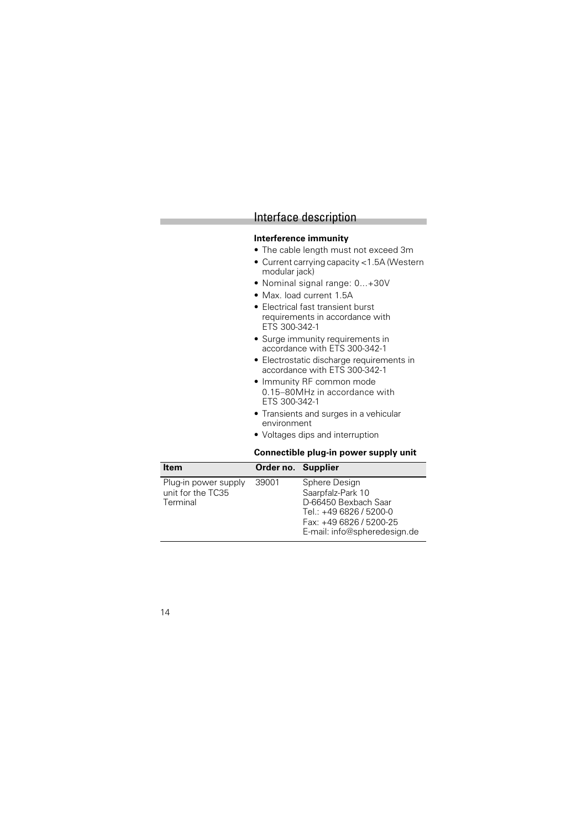#### **Interference immunity**

- The cable length must not exceed 3m
- Current carrying capacity <1.5A (Western modular jack)
- Nominal signal range: 0...+30V
- Max. load current 1.5A
- Electrical fast transient burst requirements in accordance with ETS 300-342-1
- Surge immunity requirements in accordance with ETS 300-342-1
- Electrostatic discharge requirements in accordance with ETS 300-342-1
- Immunity RF common mode 0.15–80MHz in accordance with ETS 300-342-1
- Transients and surges in a vehicular environment
- Voltages dips and interruption

#### **Connectible plug-in power supply unit**

| <b>Item</b>          | Order no. Supplier |                              |
|----------------------|--------------------|------------------------------|
| Plug-in power supply | 39001              | Sphere Design                |
| unit for the TC35    |                    | Saarpfalz-Park 10            |
| Terminal             |                    | D-66450 Bexbach Saar         |
|                      |                    | Tel.: +49 6826 / 5200-0      |
|                      |                    | Fax: +49 6826 / 5200-25      |
|                      |                    | E-mail: info@spheredesign.de |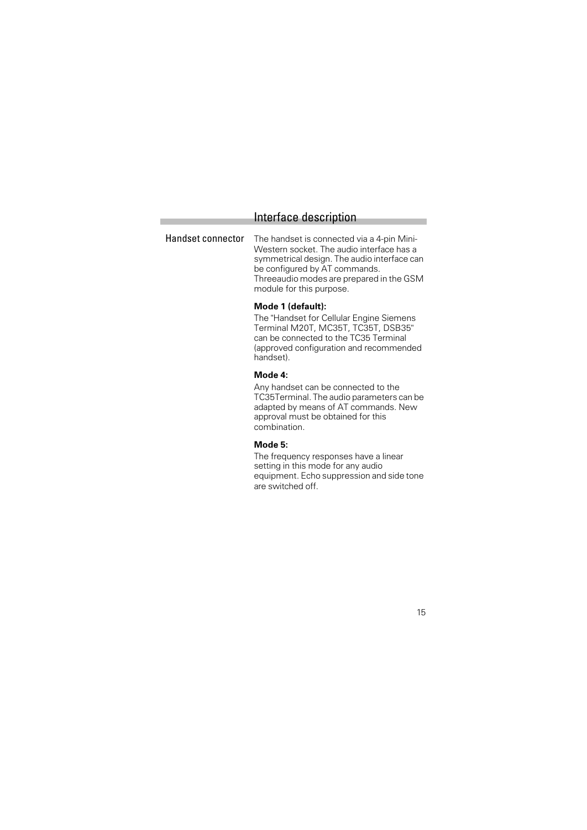Handset connector The handset is connected via a 4-pin Mini-Western socket. The audio interface has a symmetrical design. The audio interface can be configured by AT commands. Threeaudio modes are prepared in the GSM module for this purpose.

#### **Mode 1 (default):**

The "Handset for Cellular Engine Siemens Terminal M20T, MC35T, TC35T, DSB35" can be connected to the TC35 Terminal (approved configuration and recommended handset).

#### **Mode 4:**

Any handset can be connected to the TC35Terminal. The audio parameters can be adapted by means of AT commands. New approval must be obtained for this combination.

#### **Mode 5:**

The frequency responses have a linear setting in this mode for any audio equipment. Echo suppression and side tone are switched off.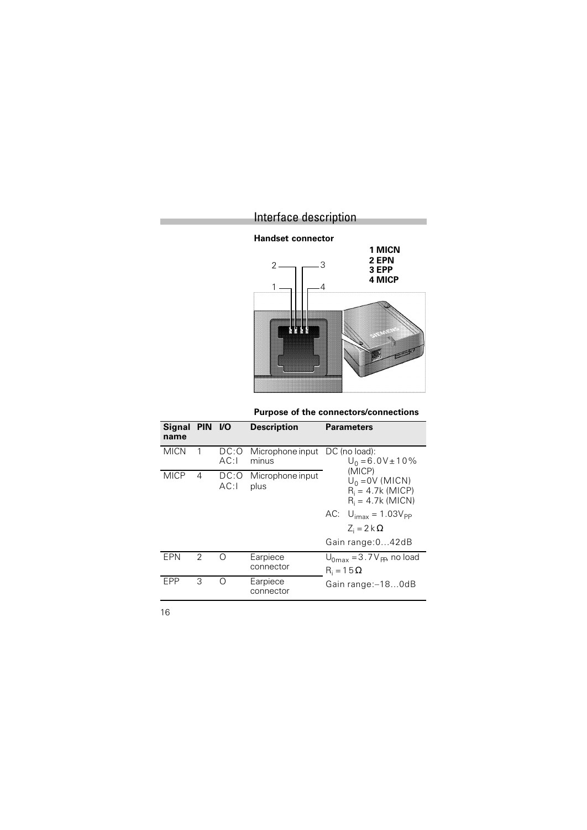

**Purpose of the connectors/connections**

| Signal PIN I/O<br>name |   |              | <b>Description</b>                      | <b>Parameters</b>                                                                                                                              |
|------------------------|---|--------------|-----------------------------------------|------------------------------------------------------------------------------------------------------------------------------------------------|
| <b>MICN</b>            | 1 | DC:O<br>AC:1 | Microphone input DC (no load):<br>minus | $U_0 = 6.0V \pm 10\%$                                                                                                                          |
| <b>MICP</b>            | 4 | DC:O<br>AC:1 | Microphone input<br>plus                | (MICP)<br>$U_0 = 0V$ (MICN)<br>$R_i = 4.7k$ (MICP)<br>$R_i = 4.7k$ (MICN)<br>$AC$ $U_{\text{imax}} = 1.03 V_{\text{PP}}$<br>$Z_i = 2 k \Omega$ |
|                        |   |              |                                         | Gain range: 042dB                                                                                                                              |
| EPN                    | 2 | ∩            | Earpiece<br>connector                   | $U_{0\text{max}} = 3.7 V_{\text{PP}}$ , no load<br>$R_i = 15 \Omega$                                                                           |
| <b>FPP</b>             | 3 | ∩            | Earpiece<br>connector                   | Gain range: -180dB                                                                                                                             |

16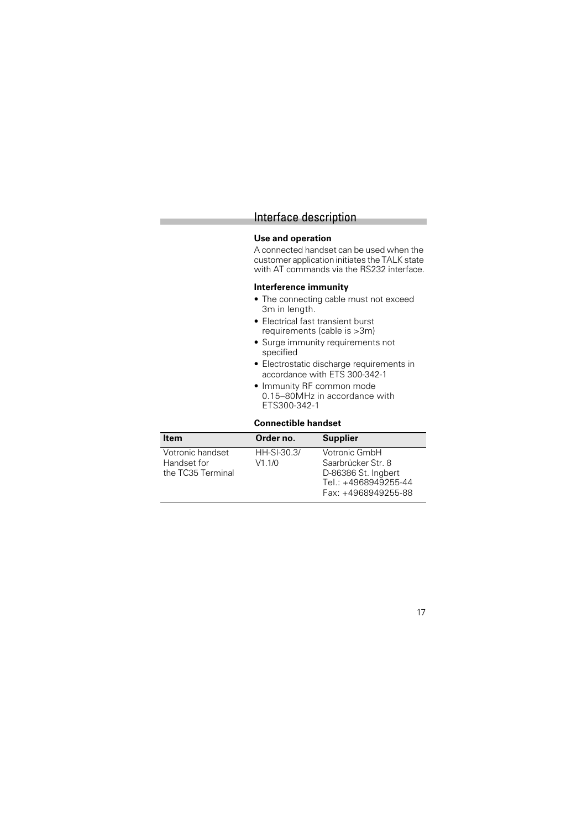#### **Use and operation**

A connected handset can be used when the customer application initiates the TALK state with AT commands via the RS232 interface.

#### **Interference immunity**

- The connecting cable must not exceed 3m in length.
- Electrical fast transient burst requirements (cable is >3m)
- Surge immunity requirements not specified
- Electrostatic discharge requirements in accordance with ETS 300-342-1
- Immunity RF common mode 0.15–80MHz in accordance with ETS300-342-1

#### **Connectible handset**

| <b>Item</b>                                          | Order no.               | <b>Supplier</b>                                                                                           |
|------------------------------------------------------|-------------------------|-----------------------------------------------------------------------------------------------------------|
| Votronic handset<br>Handset for<br>the TC35 Terminal | $HH-SI-30.3/$<br>V1.1/0 | Votronic GmbH<br>Saarbrücker Str. 8<br>D-86386 St. Ingbert<br>Tel.: +4968949255-44<br>Fax: +4968949255-88 |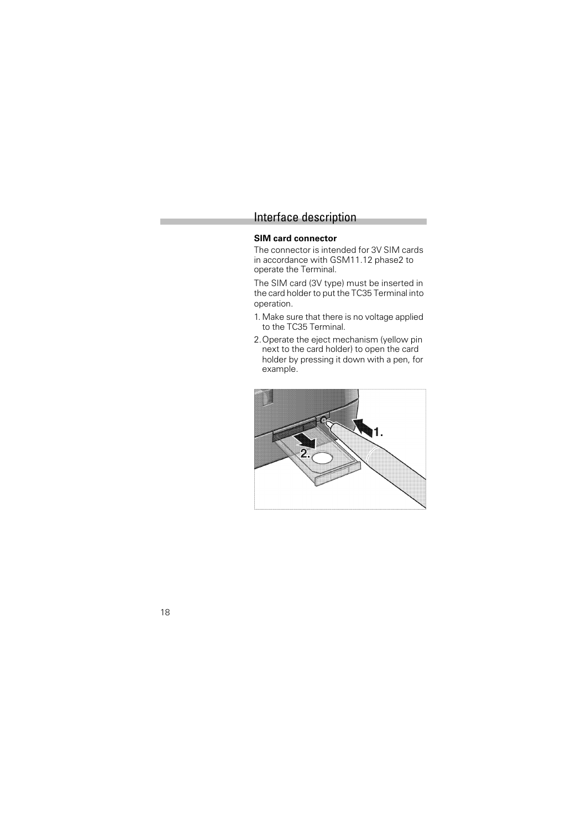#### **SIM card connector**

The connector is intended for 3V SIM cards in accordance with GSM11.12 phase2 to operate the Terminal.

The SIM card (3V type) must be inserted in the card holder to put the TC35 Terminal into operation.

- 1. Make sure that there is no voltage applied to the TC35 Terminal.
- 2.Operate the eject mechanism (yellow pin next to the card holder) to open the card holder by pressing it down with a pen, for example.

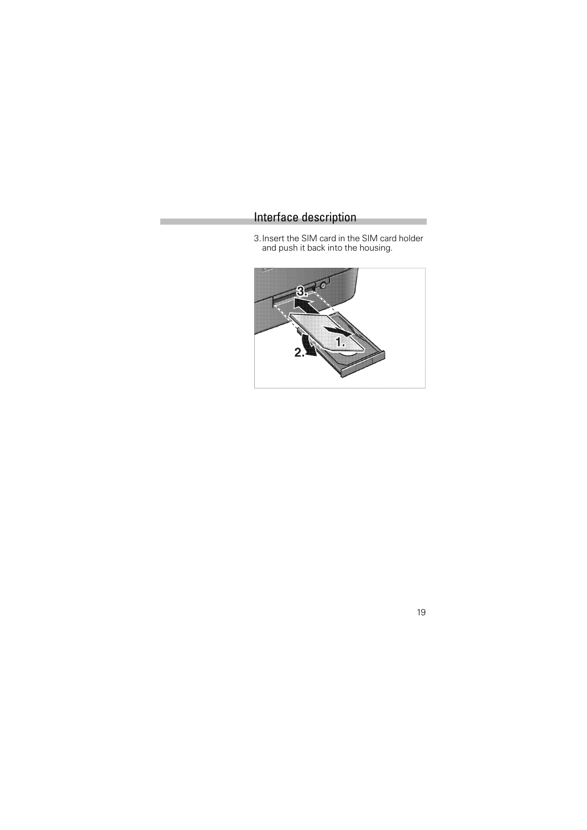3.Insert the SIM card in the SIM card holder and push it back into the housing.



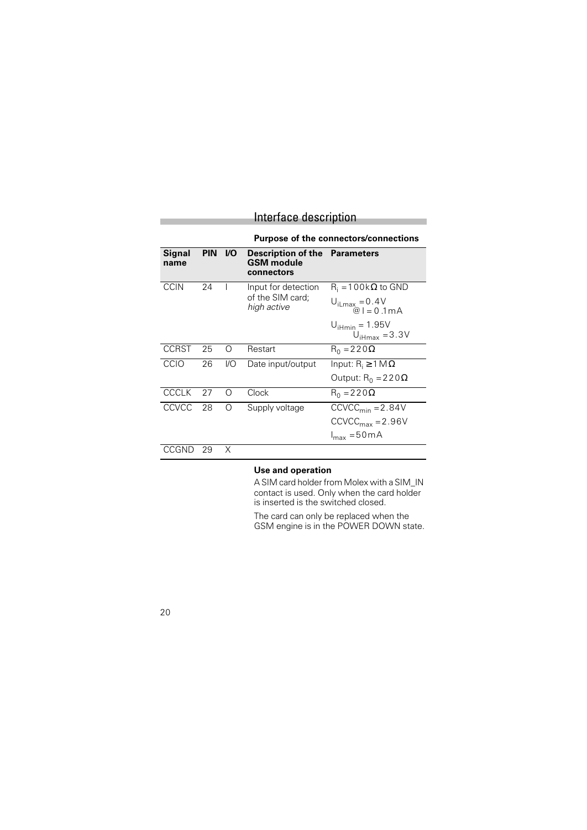|                |                                       |     | Interface description                                                   |                                                         |  |
|----------------|---------------------------------------|-----|-------------------------------------------------------------------------|---------------------------------------------------------|--|
|                | Purpose of the connectors/connections |     |                                                                         |                                                         |  |
| Signal<br>name | <b>PIN</b>                            | VO. | <b>Description of the Parameters</b><br><b>GSM</b> module<br>connectors |                                                         |  |
| <b>CCIN</b>    | 24                                    |     | Input for detection                                                     | $R_i = 100k\Omega$ to GND                               |  |
|                |                                       |     | of the SIM card:<br>high active                                         | $U_{\text{iLmax}} = 0.4V$<br>$\hat{\omega}$ I = 0.1 mA  |  |
|                |                                       |     |                                                                         | $U_{\text{iHmin}} = 1.95V$<br>$U_{\text{iHmax}} = 3.3V$ |  |
| <b>CCRST</b>   | 25                                    | ∩   | Restart                                                                 | $R_0 = 220 \Omega$                                      |  |
| CCIO           | 26                                    | I/O | Date input/output                                                       | Input: $R_i \geq 1 M \Omega$                            |  |
|                |                                       |     |                                                                         | Output: $R_0 = 220 \Omega$                              |  |
| <b>CCCLK</b>   | 27                                    | ∩   | Clock                                                                   | $R_0 = 220 \Omega$                                      |  |
| CCVCC          | 28                                    | ∩   | Supply voltage                                                          | $CCVCCmin = 2.84V$                                      |  |
|                |                                       |     |                                                                         | $CCVCC_{max} = 2.96V$                                   |  |
|                |                                       |     |                                                                         | $I_{\text{max}} = 50 \text{mA}$                         |  |
| CCGND          | 29                                    | Χ   |                                                                         |                                                         |  |

#### **Use and operation**

A SIM card holder from Molex with a SIM\_IN contact is used. Only when the card holder is inserted is the switched closed.

The card can only be replaced when the GSM engine is in the POWER DOWN state.

20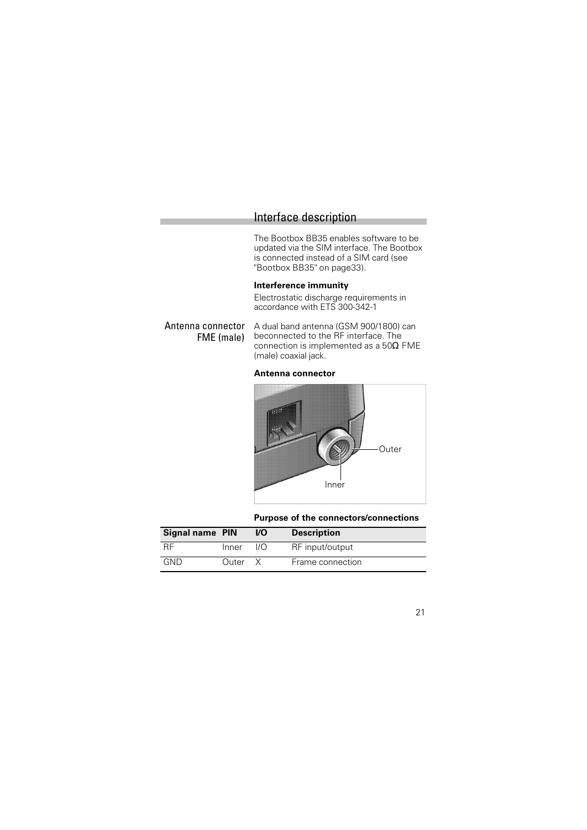The Bootbox BB35 enables software to be updated via the SIM interface. The Bootbox is connected instead of a SIM card (see "Bootbox BB35" on page33).

#### **Interference immunity**

Electrostatic discharge requirements in accordance with ETS 300-342-1

Antenna connector FME (male) A dual band antenna (GSM 900/1800) can beconnected to the RF interface. The connection is implemented as a 50Ω FME (male) coaxial jack.

#### **Antenna connector**



**Purpose of the connectors/connections**

| Signal name PIN |       | VO   | <b>Description</b> |
|-----------------|-------|------|--------------------|
| -RF             | Inner | I/O. | RF input/output    |
| GND             | Outer |      | Frame connection   |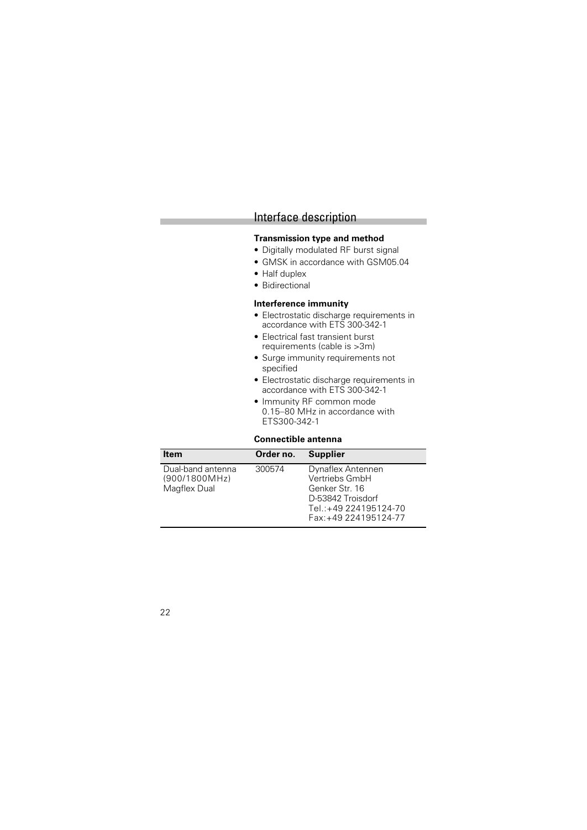#### **Transmission type and method**

- Digitally modulated RF burst signal
- GMSK in accordance with GSM05.04
- Half duplex
- Bidirectional

#### **Interference immunity**

- Electrostatic discharge requirements in accordance with ETS 300-342-1
- Electrical fast transient burst requirements (cable is >3m)
- Surge immunity requirements not specified
- Electrostatic discharge requirements in accordance with ETS 300-342-1
- Immunity RF common mode 0.15–80 MHz in accordance with ETS300-342-1

#### **Connectible antenna**

| Item                                               | Order no. | <b>Supplier</b>                                                                                                               |
|----------------------------------------------------|-----------|-------------------------------------------------------------------------------------------------------------------------------|
| Dual-band antenna<br>(900/1800MHz)<br>Magflex Dual | 300574    | Dynaflex Antennen<br>Vertriebs GmbH<br>Genker Str. 16<br>D-53842 Troisdorf<br>Tel.: +49 224195124-70<br>Fax: +49 224195124-77 |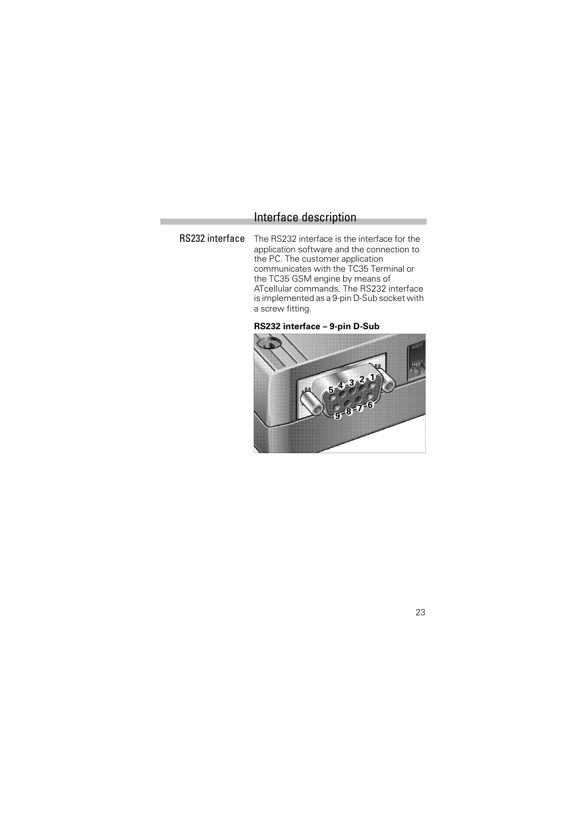RS232 interface The RS232 interface is the interface for the application software and the connection to the PC. The customer application communicates with the TC35 Terminal or the TC35 GSM engine by means of ATcellular commands. The RS232 interface is implemented as a 9-pin D-Sub socket with a screw fitting.



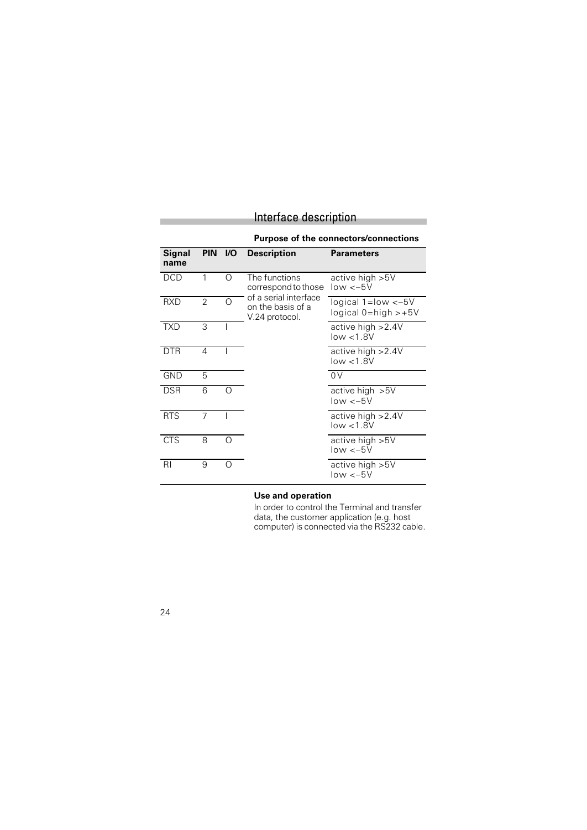#### **Purpose of the connectors/connections**

| Signal<br>name | PIN VO         |   | <b>Description</b>                                                                                   | <b>Parameters</b>                                   |
|----------------|----------------|---|------------------------------------------------------------------------------------------------------|-----------------------------------------------------|
| <b>DCD</b>     | 1              | ∩ | The functions<br>correspond to those<br>of a serial interface<br>on the basis of a<br>V.24 protocol. | active high >5V<br>$low < -5V$                      |
| <b>RXD</b>     | $\overline{2}$ | ∩ |                                                                                                      | logical $1 = low < -5V$<br>$logical$ 0=high $> +5V$ |
| <b>TXD</b>     | 3              |   |                                                                                                      | active high > 2.4V<br>low < 1.8V                    |
| <b>DTR</b>     | 4              |   |                                                                                                      | active high > 2.4V<br>low < 1.8V                    |
| <b>GND</b>     | 5              |   |                                                                                                      | 0V                                                  |
| <b>DSR</b>     | 6              |   |                                                                                                      | active high $>5V$<br>$low < -5V$                    |
| <b>RTS</b>     | 7              |   |                                                                                                      | active high $>2.4V$<br>low < 1.8V                   |
| <b>CTS</b>     | 8              |   |                                                                                                      | active high $>5V$<br>$low < -5V$                    |
| RI             | 9              |   |                                                                                                      | active high $>5V$<br>$low < -5V$                    |

#### **Use and operation**

In order to control the Terminal and transfer data, the customer application (e.g. host computer) is connected via the RS232 cable.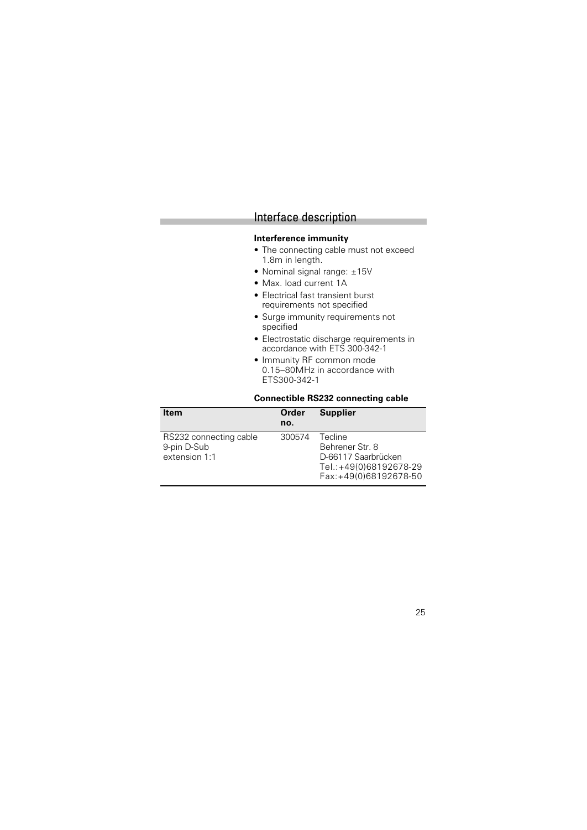#### **Interference immunity**

- The connecting cable must not exceed 1.8m in length.
- Nominal signal range: ±15V
- Max. load current 1A
- Electrical fast transient burst requirements not specified
- Surge immunity requirements not specified
- Electrostatic discharge requirements in accordance with ETS 300-342-1
- Immunity RF common mode 0.15–80MHz in accordance with ETS300-342-1

#### **Connectible RS232 connecting cable**

| <b>Item</b>                                            | Order<br>no. | <b>Supplier</b>                                                                                      |
|--------------------------------------------------------|--------------|------------------------------------------------------------------------------------------------------|
| RS232 connecting cable<br>9-pin D-Sub<br>extension 1:1 | 300574       | Tecline<br>Behrener Str. 8<br>D-66117 Saarbrücken<br>Tel.:+49(0)68192678-29<br>Fax:+49(0)68192678-50 |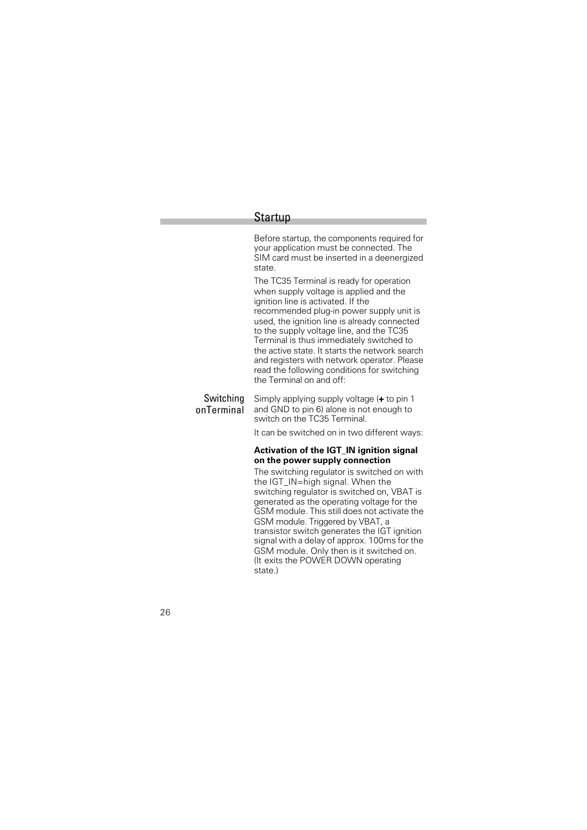#### Startup

Before startup, the components required for your application must be connected. The SIM card must be inserted in a deenergized state.

The TC35 Terminal is ready for operation when supply voltage is applied and the ignition line is activated. If the recommended plug-in power supply unit is used, the ignition line is already connected to the supply voltage line, and the TC35 Terminal is thus immediately switched to the active state. It starts the network search and registers with network operator. Please read the following conditions for switching the Terminal on and off:

Switching onTerminal Simply applying supply voltage (**+** to pin 1 and GND to pin 6) alone is not enough to switch on the TC35 Terminal.

It can be switched on in two different ways:

#### **Activation of the IGT\_IN ignition signal on the power supply connection**

The switching regulator is switched on with the IGT IN=high signal. When the switching regulator is switched on, VBAT is generated as the operating voltage for the GSM module. This still does not activate the GSM module. Triggered by VBAT, a transistor switch generates the IGT ignition signal with a delay of approx. 100ms for the GSM module. Only then is it switched on. (It exits the POWER DOWN operating state.)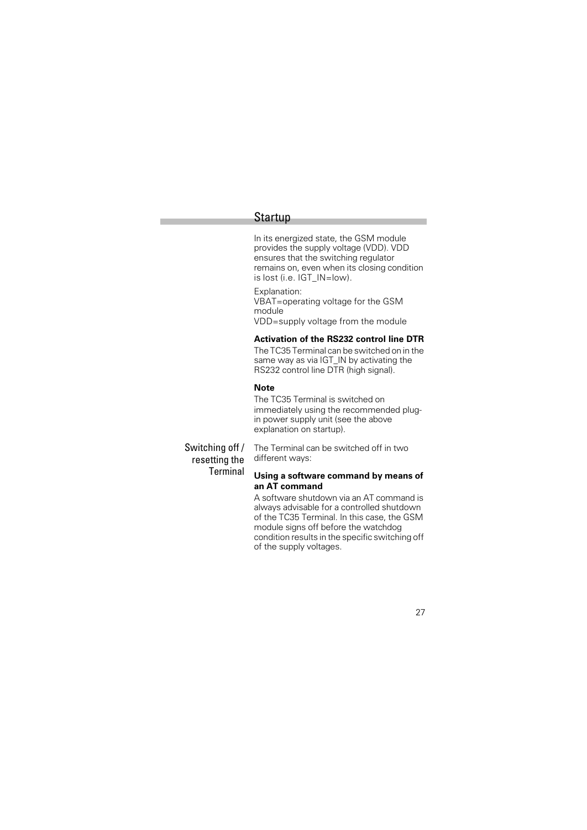#### Startup

In its energized state, the GSM module provides the supply voltage (VDD). VDD ensures that the switching regulator remains on, even when its closing condition is lost (i.e. IGT\_IN=low).

Explanation: VBAT=operating voltage for the GSM module VDD=supply voltage from the module

#### **Activation of the RS232 control line DTR**

The TC35 Terminal can be switched on in the same way as via IGT\_IN by activating the RS232 control line DTR (high signal).

#### **Note**

different ways:

The TC35 Terminal is switched on immediately using the recommended plugin power supply unit (see the above explanation on startup).

Switching off / resetting the **Terminal** 

#### **Using a software command by means of an AT command**

The Terminal can be switched off in two

A software shutdown via an AT command is always advisable for a controlled shutdown of the TC35 Terminal. In this case, the GSM module signs off before the watchdog condition results in the specific switching off of the supply voltages.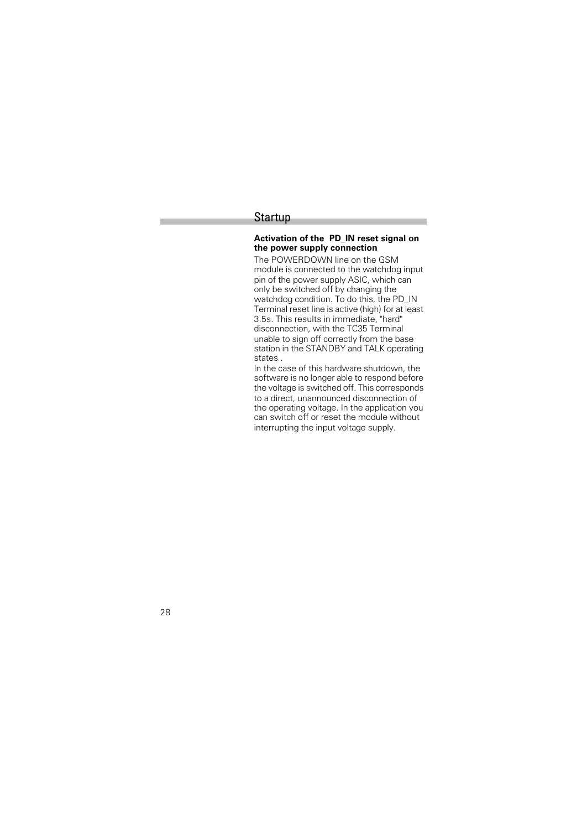#### Startup

#### **Activation of the PD\_IN reset signal on the power supply connection**

The POWERDOWN line on the GSM module is connected to the watchdog input pin of the power supply ASIC, which can only be switched off by changing the watchdog condition. To do this, the PD\_IN Terminal reset line is active (high) for at least 3.5s. This results in immediate, "hard" disconnection, with the TC35 Terminal unable to sign off correctly from the base station in the STANDBY and TALK operating states .

In the case of this hardware shutdown, the software is no longer able to respond before the voltage is switched off. This corresponds to a direct, unannounced disconnection of the operating voltage. In the application you can switch off or reset the module without interrupting the input voltage supply.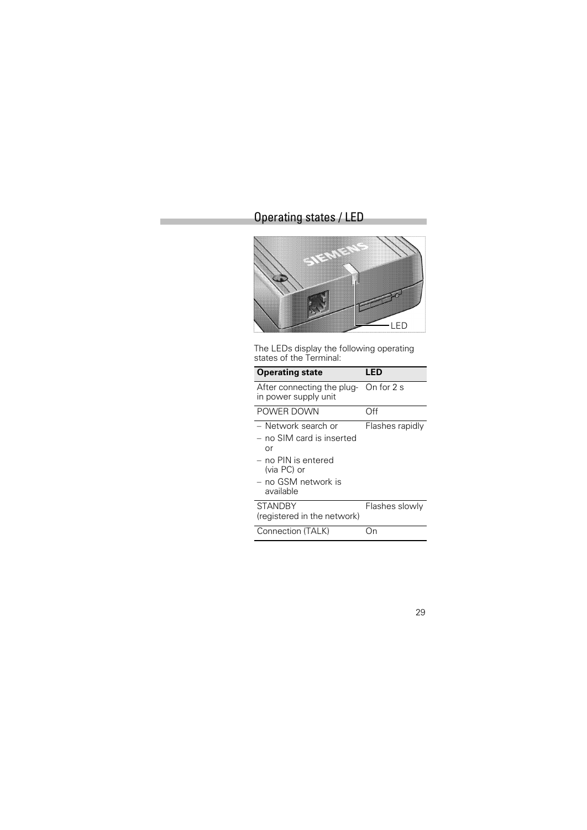# Operating states / LED



The LEDs display the following operating states of the Terminal:

| <b>Operating state</b>                                                                                                             | LED             |
|------------------------------------------------------------------------------------------------------------------------------------|-----------------|
| After connecting the plug- On for 2 s<br>in power supply unit                                                                      |                 |
| POWER DOWN                                                                                                                         | Off             |
| – Network search or<br>$-$ no SIM card is inserted<br>or<br>– no PIN is entered<br>(via PC) or<br>– no GSM network is<br>available | Flashes rapidly |
| <b>STANDBY</b><br>(registered in the network)                                                                                      | Flashes slowly  |
| Connection (TALK)                                                                                                                  |                 |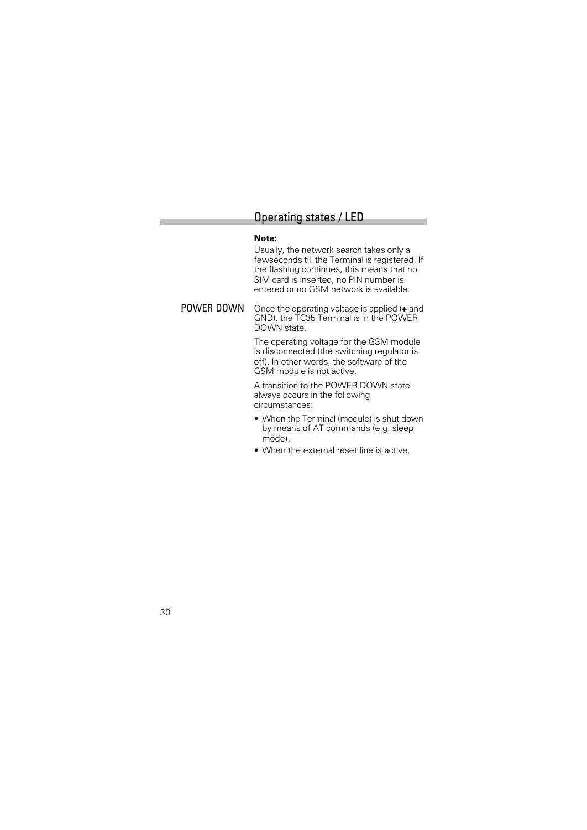### Operating states / LED

#### **Note:**

Usually, the network search takes only a fewseconds till the Terminal is registered. If the flashing continues, this means that no SIM card is inserted, no PIN number is entered or no GSM network is available.

POWER DOWN Once the operating voltage is applied (**+** and GND), the TC35 Terminal is in the POWER DOWN state.

> The operating voltage for the GSM module is disconnected (the switching regulator is off). In other words, the software of the GSM module is not active.

A transition to the POWER DOWN state always occurs in the following circumstances:

- When the Terminal (module) is shut down by means of AT commands (e.g. sleep mode).
- When the external reset line is active.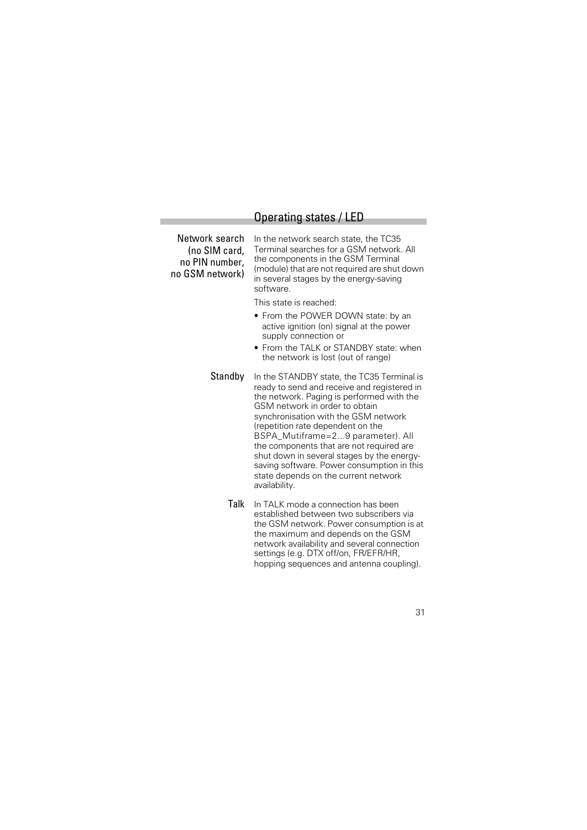# Operating states / LED

| Network search<br>(no SIM card,<br>no PIN number,<br>no GSM network) | In the network search state, the TC35<br>Terminal searches for a GSM network. All<br>the components in the GSM Terminal<br>(module) that are not required are shut down<br>in several stages by the energy-saving<br>software. |
|----------------------------------------------------------------------|--------------------------------------------------------------------------------------------------------------------------------------------------------------------------------------------------------------------------------|
|                                                                      | This state is reached:                                                                                                                                                                                                         |
|                                                                      | • From the POWER DOWN state: by an<br>active ignition (on) signal at the power<br>supply connection or                                                                                                                         |

- From the TALK or STANDBY state: when the network is lost (out of range)
- Standby In the STANDBY state, the TC35 Terminal is ready to send and receive and registered in the network. Paging is performed with the GSM network in order to obtain synchronisation with the GSM network (repetition rate dependent on the BSPA\_Mutiframe=2...9 parameter). All the components that are not required are shut down in several stages by the energysaving software. Power consumption in this state depends on the current network availability.
	- Talk In TALK mode a connection has been established between two subscribers via the GSM network. Power consumption is at the maximum and depends on the GSM network availability and several connection settings (e.g. DTX off/on, FR/EFR/HR, hopping sequences and antenna coupling).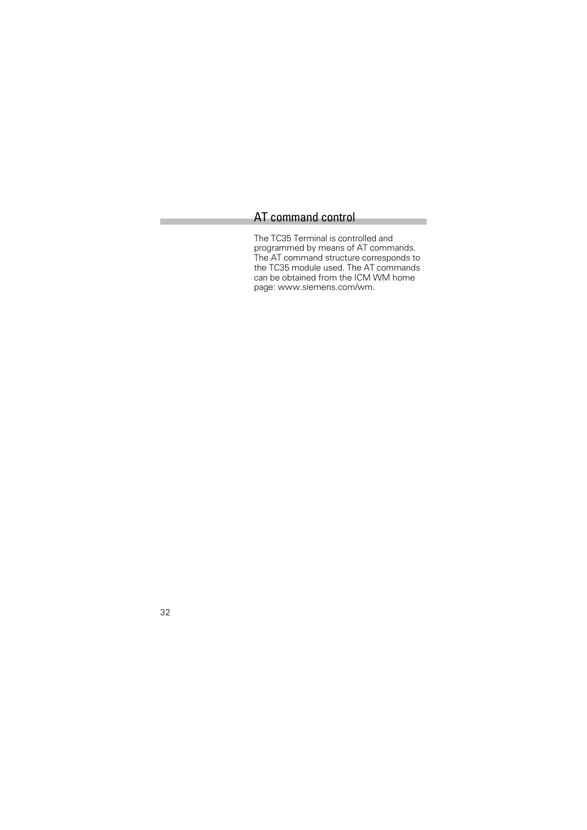# AT command control

The TC35 Terminal is controlled and programmed by means of AT commands. The AT command structure corresponds to the TC35 module used. The AT commands can be obtained from the ICM WM home page: www.siemens.com/wm.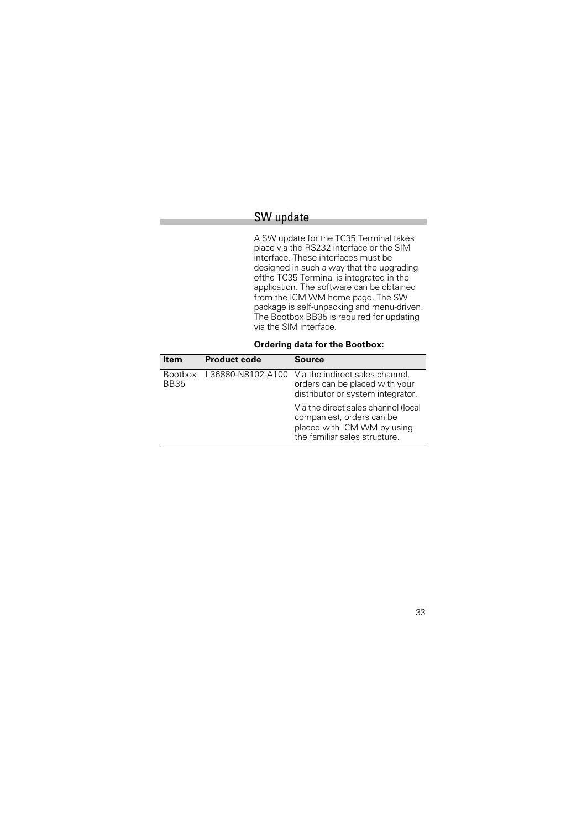# SW update

A SW update for the TC35 Terminal takes place via the RS232 interface or the SIM interface. These interfaces must be designed in such a way that the upgrading ofthe TC35 Terminal is integrated in the application. The software can be obtained from the ICM WM home page. The SW package is self-unpacking and menu-driven. The Bootbox BB35 is required for updating via the SIM interface.

**Ordering data for the Bootbox:**

| <b>Item</b>                   | <b>Product code</b> | Source                                                                                                                           |
|-------------------------------|---------------------|----------------------------------------------------------------------------------------------------------------------------------|
| <b>Bootbox</b><br><b>BB35</b> | L36880-N8102-A100   | Via the indirect sales channel,<br>orders can be placed with your<br>distributor or system integrator.                           |
|                               |                     | Via the direct sales channel (local<br>companies), orders can be<br>placed with ICM WM by using<br>the familiar sales structure. |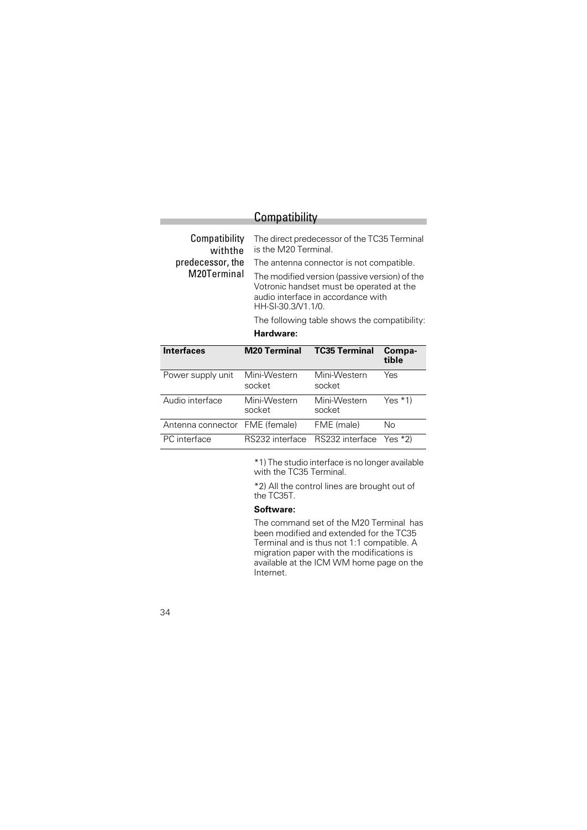| Compatibility |  |  |
|---------------|--|--|
|               |  |  |

| Compatibility<br>withthe |                        | The direct predecessor of the TC35 Terminal<br>is the M20 Terminal.                                                                                   |                 |  |  |
|--------------------------|------------------------|-------------------------------------------------------------------------------------------------------------------------------------------------------|-----------------|--|--|
| predecessor, the         |                        | The antenna connector is not compatible.                                                                                                              |                 |  |  |
| M20Terminal              |                        | The modified version (passive version) of the<br>Votronic handset must be operated at the<br>audio interface in accordance with<br>HH-SI-30.3/V1.1/0. |                 |  |  |
|                          |                        | The following table shows the compatibility:                                                                                                          |                 |  |  |
|                          | Hardware:              |                                                                                                                                                       |                 |  |  |
| Interfaces               | <b>M20 Terminal</b>    | <b>TC35 Terminal</b>                                                                                                                                  | Compa-<br>tible |  |  |
| Power supply unit        | Mini-Western<br>socket | Mini-Western<br>socket                                                                                                                                | Yes             |  |  |
| Audio interface          | Mini-Western<br>socket | Mini-Western<br>socket                                                                                                                                | Yes $*1$        |  |  |

\*1) The studio interface is no longer available PC interface RS232 interface RS232 interface Yes \*2)

with the TC35 Terminal.

\*2) All the control lines are brought out of the TC35T.

#### **Software:**

Antenna connector FME (female) FME (male) No

The command set of the M20 Terminal has been modified and extended for the TC35 Terminal and is thus not 1:1 compatible. A migration paper with the modifications is available at the ICM WM home page on the Internet.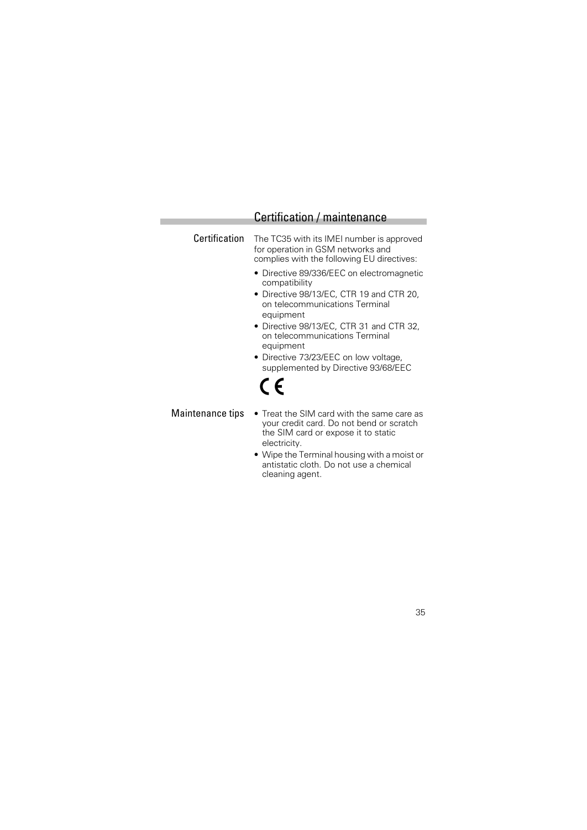## Certification / maintenance

Certification The TC35 with its IMEI number is approved for operation in GSM networks and complies with the following EU directives:

- Directive 89/336/EEC on electromagnetic compatibility
- Directive 98/13/EC, CTR 19 and CTR 20, on telecommunications Terminal equipment
- Directive 98/13/EC, CTR 31 and CTR 32, on telecommunications Terminal equipment
- Directive 73/23/EEC on low voltage, supplemented by Directive 93/68/EEC

# $\epsilon$

- Maintenance tips Treat the SIM card with the same care as your credit card. Do not bend or scratch the SIM card or expose it to static electricity.
	- Wipe the Terminal housing with a moist or antistatic cloth. Do not use a chemical cleaning agent.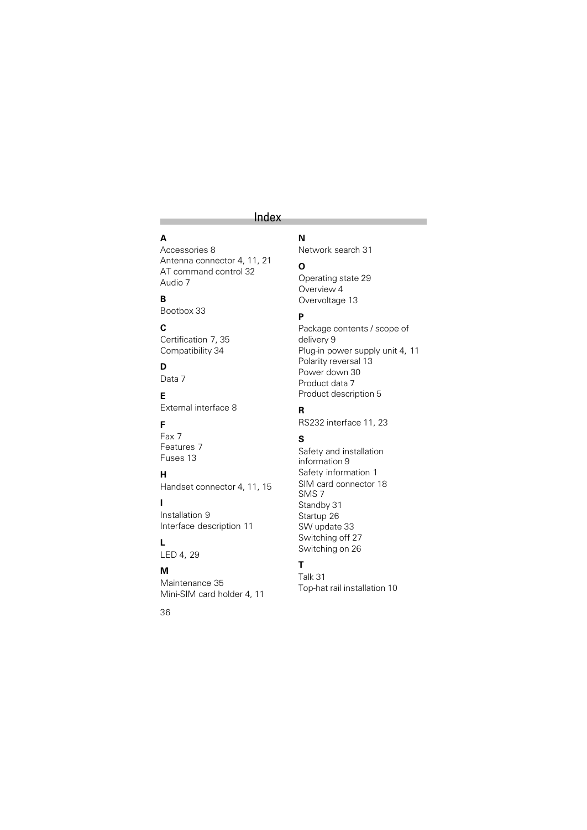# Index

# **A**

Accessories 8 Antenna connector 4, 11, 21 AT command control 32 Audio 7

# **B**

Bootbox 33

# **C**

Certification 7, 35 Compatibility 34

# **D**

Data 7

**E**

External interface 8

# **F**

Fax 7 Features 7 Fuses 13

#### **H**

Handset connector 4, 11, 15

## **I**

Installation 9 Interface description 11

### **L**

LED 4, 29

#### **M**

Maintenance 35 Mini-SIM card holder 4, 11

#### 36

**N** Network search 31

# **O**

Operating state 29 Overview 4 Overvoltage 13

#### **P**

Package contents / scope of delivery 9 Plug-in power supply unit 4, 11 Polarity reversal 13 Power down 30 Product data 7 Product description 5

#### **R**

RS232 interface 11, 23

#### **S**

Safety and installation information 9 Safety information 1 SIM card connector 18 SMS 7 Standby 31 Startup<sup>26</sup> SW update 33 Switching off 27 Switching on 26

# **T**

Talk 31 Top-hat rail installation 10